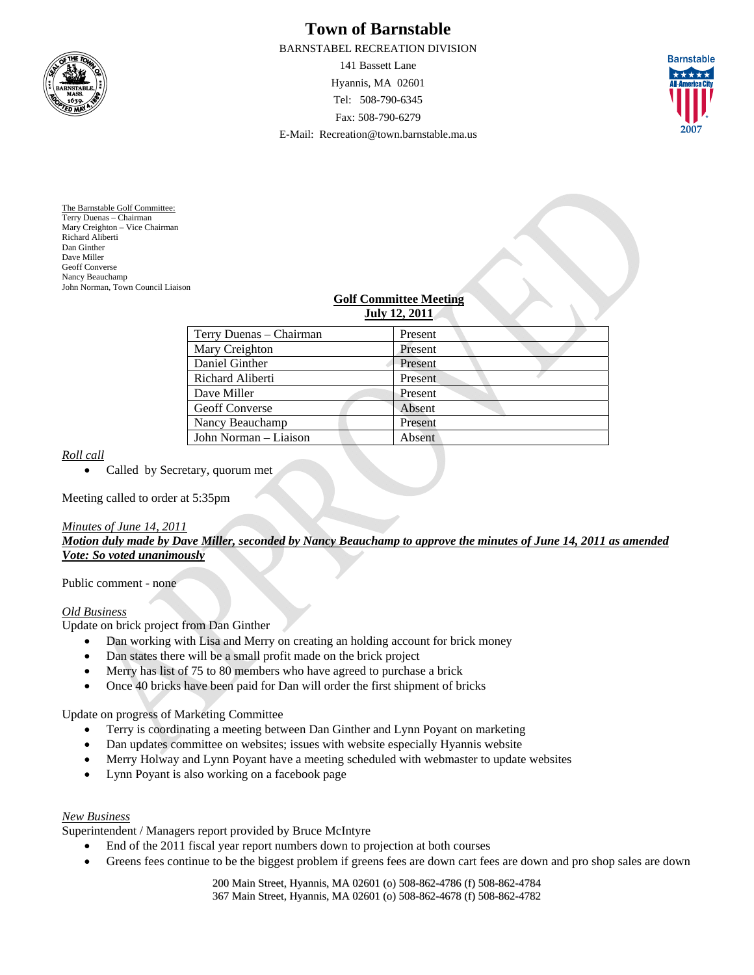

# **Town of Barnstable**

BARNSTABEL RECREATION DIVISION

141 Bassett Lane Hyannis, MA 02601 Tel: 508-790-6345 Fax: 508-790-6279 E-Mail: Recreation@town.barnstable.ma.us



The Barnstable Golf Committee: Terry Duenas – Chairman Mary Creighton – Vice Chairman Richard Aliberti Dan Ginther Dave Miller Geoff Converse Nancy Beauchamp John Norman, Town Council Liaison

#### **Golf Committee Meeting July 12, 2011**

| Terry Duenas – Chairman | Present |
|-------------------------|---------|
| Mary Creighton          | Present |
| Daniel Ginther          | Present |
| Richard Aliberti        | Present |
| Dave Miller             | Present |
| <b>Geoff Converse</b>   | Absent  |
| Nancy Beauchamp         | Present |
| John Norman – Liaison   | Absent  |

## *Roll call*

• Called by Secretary, quorum met

Meeting called to order at 5:35pm

### *Minutes of June 14, 2011*

*Motion duly made by Dave Miller, seconded by Nancy Beauchamp to approve the minutes of June 14, 2011 as amended Vote: So voted unanimously*

Public comment - none

### *Old Business*

Update on brick project from Dan Ginther

- Dan working with Lisa and Merry on creating an holding account for brick money
- Dan states there will be a small profit made on the brick project
- Merry has list of 75 to 80 members who have agreed to purchase a brick
- Once 40 bricks have been paid for Dan will order the first shipment of bricks

Update on progress of Marketing Committee

- Terry is coordinating a meeting between Dan Ginther and Lynn Poyant on marketing
- Dan updates committee on websites; issues with website especially Hyannis website
- Merry Holway and Lynn Poyant have a meeting scheduled with webmaster to update websites
- Lynn Poyant is also working on a facebook page

### *New Business*

Superintendent / Managers report provided by Bruce McIntyre

- End of the 2011 fiscal year report numbers down to projection at both courses
- Greens fees continue to be the biggest problem if greens fees are down cart fees are down and pro shop sales are down

200 Main Street, Hyannis, MA 02601 (o) 508-862-4786 (f) 508-862-4784 367 Main Street, Hyannis, MA 02601 (o) 508-862-4678 (f) 508-862-4782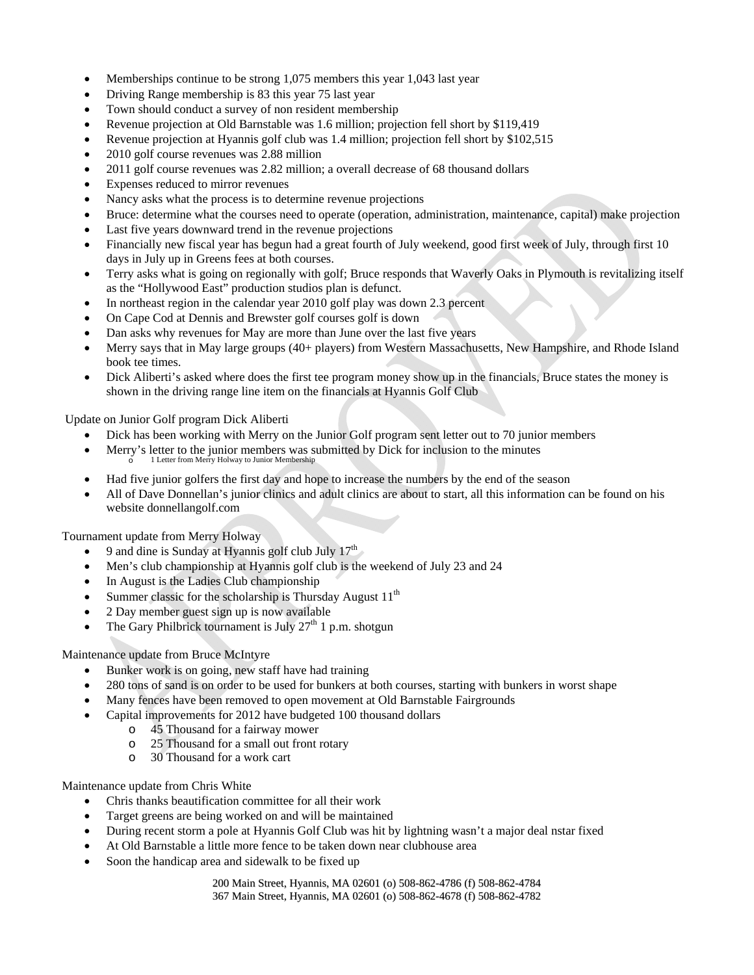- Memberships continue to be strong 1,075 members this year 1,043 last year
- Driving Range membership is 83 this year 75 last year
- Town should conduct a survey of non resident membership
- Revenue projection at Old Barnstable was 1.6 million; projection fell short by \$119,419
- Revenue projection at Hyannis golf club was 1.4 million; projection fell short by \$102,515
- 2010 golf course revenues was 2.88 million
- 2011 golf course revenues was 2.82 million; a overall decrease of 68 thousand dollars
- Expenses reduced to mirror revenues
- Nancy asks what the process is to determine revenue projections
- Bruce: determine what the courses need to operate (operation, administration, maintenance, capital) make projection
- Last five years downward trend in the revenue projections
- Financially new fiscal year has begun had a great fourth of July weekend, good first week of July, through first 10 days in July up in Greens fees at both courses.
- Terry asks what is going on regionally with golf; Bruce responds that Waverly Oaks in Plymouth is revitalizing itself as the "Hollywood East" production studios plan is defunct.
- In northeast region in the calendar year 2010 golf play was down 2.3 percent
- On Cape Cod at Dennis and Brewster golf courses golf is down
- Dan asks why revenues for May are more than June over the last five years
- Merry says that in May large groups (40+ players) from Western Massachusetts, New Hampshire, and Rhode Island book tee times.
- Dick Aliberti's asked where does the first tee program money show up in the financials, Bruce states the money is shown in the driving range line item on the financials at Hyannis Golf Club

Update on Junior Golf program Dick Aliberti

- Dick has been working with Merry on the Junior Golf program sent letter out to 70 junior members
- $\bullet$  Merry's letter to the junior members was submitted by Dick for inclusion to the minutes  $\circ$  1 Letter from Merry Holway to Junior Membership
- Had five junior golfers the first day and hope to increase the numbers by the end of the season
- All of Dave Donnellan's junior clinics and adult clinics are about to start, all this information can be found on his website donnellangolf.com

Tournament update from Merry Holway

- 9 and dine is Sunday at Hyannis golf club July  $17<sup>th</sup>$
- Men's club championship at Hyannis golf club is the weekend of July 23 and 24
- In August is the Ladies Club championship
- Summer classic for the scholarship is Thursday August  $11<sup>th</sup>$
- 2 Day member guest sign up is now available
- The Gary Philbrick tournament is July  $27<sup>th</sup> 1$  p.m. shotgun

### Maintenance update from Bruce McIntyre

- Bunker work is on going, new staff have had training
- 280 tons of sand is on order to be used for bunkers at both courses, starting with bunkers in worst shape
- Many fences have been removed to open movement at Old Barnstable Fairgrounds
- Capital improvements for 2012 have budgeted 100 thousand dollars
	- o 45 Thousand for a fairway mower
	- o 25 Thousand for a small out front rotary
	- o 30 Thousand for a work cart

### Maintenance update from Chris White

- Chris thanks beautification committee for all their work
- Target greens are being worked on and will be maintained
- During recent storm a pole at Hyannis Golf Club was hit by lightning wasn't a major deal nstar fixed
- At Old Barnstable a little more fence to be taken down near clubhouse area
- Soon the handicap area and sidewalk to be fixed up

200 Main Street, Hyannis, MA 02601 (o) 508-862-4786 (f) 508-862-4784 367 Main Street, Hyannis, MA 02601 (o) 508-862-4678 (f) 508-862-4782